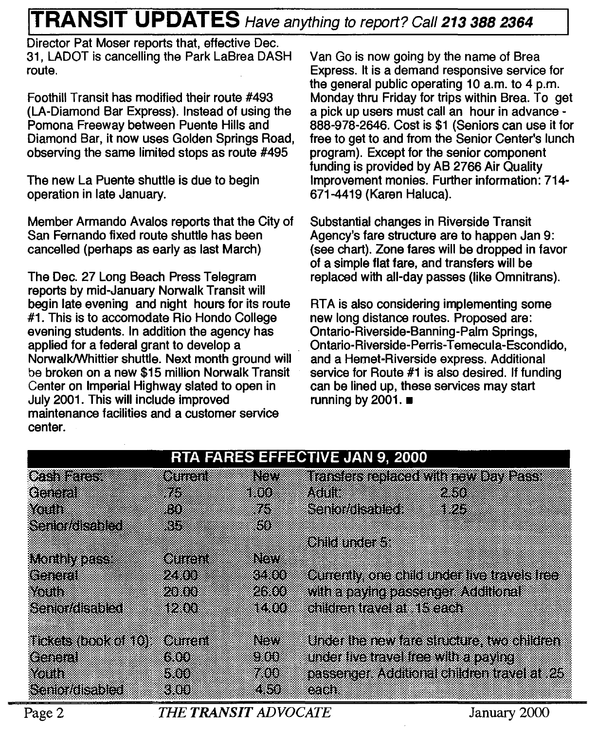#### **TRANSIT UPDATES** Have anything to report? Call 213 388 2364

Director Pat Moser reports that, effective Dec. 31, LADOT is cancelling the Park LaBrea DASH route.

Foothill Transit has modified their route #493 (LA-Diamond Bar Express). Instead of using the Pomona Freeway between Puente Hills and Diamond Bar, it now uses Golden Springs Road, observing the same limited stops as route #495

The new La Puente shuttle is due to begin operation in late January.

Member Armando Avalos reports that the City of San Fernando fixed route shuttle has been cancelled (perhaps as early as last March)

The Dec. 27 Long Beach Press Telegram reports by mid-January Norwalk Transit will begin late evening and night hours for its route #1. This is to accomodate Rio Hondo College evening students. In addition the agency has applied for a federal grant to develop a Norwalk/Whittier shuttle. Next month ground will be broken on a new \$15 million Norwalk Transit Center on Imperial Highway slated to open in July 2001. This will include improved maintenance facilities and a customer service center.

Van Go is now going by the name of Brea Express. It is a demand responsive service for the general public operating 10 a.m. to 4 p.m. Monday thru Friday for trips within Brea. To get a pick up users must call an hour in advance - 888-978-2646. Cost is \$1 (Seniors can use it for free to get to and from the Senior Center's lunch program). Except for the senior component funding is provided by AB 2766 Air Quality Improvement monies. Further information: 714- 671-4419 (Karen Haluca).

Substantial changes in Riverside Transit Agency's fare structure are to happen Jan 9: (see chart). Zone fares will be dropped in favor of a simple flat fare, and transfers will be replaced with all-day passes (like Omnitrans).

RTA is also considering implementing some new long distance routes. Proposed are: Ontario-Riverside-Banning-Palm Springs, Ontario-Riverside-Perris- Temecula-Escondido, and a Hemet-Riverside express. Additional service for Route #1 is also desired. If funding can be lined up, these services may start running by  $2001.$ 

| RTA FARES EFFECTIVE JAN 9, 2000 |        |          |                                             |  |      |  |  |
|---------------------------------|--------|----------|---------------------------------------------|--|------|--|--|
| obrazio                         | entan  | RW       | Transfers replaced with new Day Pass        |  |      |  |  |
| Centri                          | 8767   | 800      | 2301                                        |  | 236  |  |  |
| Xoun                            | 3367   | 848      | Senordstelled                               |  | 8923 |  |  |
| Semondisabled                   | 83     | 33       |                                             |  |      |  |  |
|                                 |        |          | enisht et av                                |  |      |  |  |
| <b>Monthlypass</b>              | oni di | NOTI     |                                             |  |      |  |  |
| General                         | 92888  | 8300     | Currently one child under live travels free |  |      |  |  |
| Xouth                           | 2080.0 | 28010101 | with a paying passenger Additional          |  |      |  |  |
| Senior/disabled                 | 59239  | 58806    | cilidremtavel at 15 caen                    |  |      |  |  |
|                                 |        |          |                                             |  |      |  |  |
| Tickets (book of 10)            | ontan  | naw      | underlike new late structure, we children   |  |      |  |  |
| General                         | 6300   | 8380108  | under live travel free with a paying        |  |      |  |  |
| Xouth                           | 880    | 789.8    | passenger Additional children travel at 25  |  |      |  |  |
| Senior/disabled                 | 888.88 | 2839     | 6203                                        |  |      |  |  |

Page 2 THE TRANSIT ADVOCATE January 2000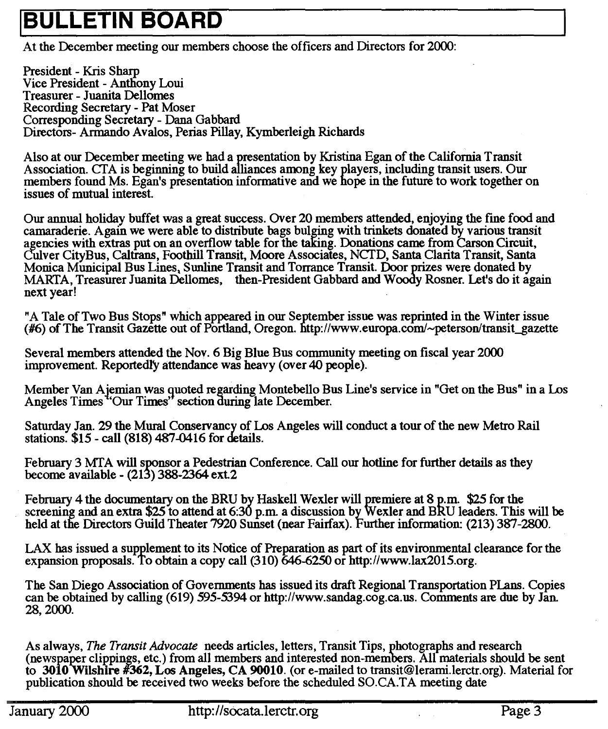## **BULLETIN BOARD**

At the December meeting our members choose the officers and Directors for 2000:

President - Kris Sharp Vice President - Anthony Loui Treasurer - Juanita Dellomes Recording Secretary - Pat Moser Corresponding Secretary - Dana Gabbard Directors- Armando Avalos, Perias Pillay, Kymberleigh Richards

Also at our December meeting we had a presentation by Kristina Egan of the California Transit Association. CTA is beginning to build alliances among key players, including transit users. Our members found Ms. Egan's presentation informative and we hope in the future to work together on issues of mutual interest.

Our annual holiday buffet was a great success. Over 20 members attended, enjoying the fine food and camaraderie. Again we were able to distribute bags bulging with trinkets donated by various transit agencies with extras put on an overflow table for the taking. Donations came from Carson Circuit, Culver CityBus, Caltrans, Foothill Transit, Moore Associates, NCTD, Santa Clarita Transit, Santa<br>Monica Municipal Bus Lines, Sunline Transit and Torrance Transit. Door prizes were donated by MARTA, Treasurer Juanita Dellomes, then-President Gabbard and Woody Rosner. Let's do it again next year!

"A Tale of Two Bus Stops" which appeared in our September issue was reprinted in the Winter issue<br>(#6) of The Transit Gazette out of Portland, Oregon. http://www.europa.com/~peterson/transit\_gazette

Several members attended the Nov. 6 Big Blue Bus community meeting on fiscal year 2000 improvement. ReportedlY attendance was heavy (over 40 people).

Member Van Ajemian was quoted regarding Montebello Bus Line's service in "Get on the Bus" in a Los Angeles Times "Our Times" section during late December.

Saturday Jan. 29 the Mural Conservancy of Los Angeles will conduct a tour of the new Metro Rail stations. \$15 - call (818) 487-0416 for details.

February 3 MTA will sponsor a Pedestrian Conference. Call our hotline for further details as they become available - (213) 388-2364 ext.2

February 4 the documentary on the BRU by Haskell Wexler will premiere at 8 p.m. \$25 for the screening and an extra \$25 to attend at  $6.30$  p.m. a discussion by Wexler and BRU leaders. This will be held at the Directors Guild Theater 7920 Sunset (near Fairfax). Further information: (213) 387-2800.

LAX has issued a supplement to its Notice of Preparation as part of its environmental clearance for the expansion proposals. To obtain a copy call (310)  $\delta$ 46-6250 or http://www.lax2015.org.

The San Diego Association of Governments has issued its draft Regional Transportation PLans. Copies can be obtained by calling (619) 595-5394 or http://www.sandag.cog.ca.us. Comments are due by Jan. 28, 2000.

As always, *The Transit Advocate* needs articles, letters, Transit Tips, photographs and research to 3010 Wilshire  $#362$ , Los Angeles, CA 90010. (or e-mailed to transit@lerami.lerctr.org). Material for publication should be received two weeks before the scheduled SO.CA.T A meeting date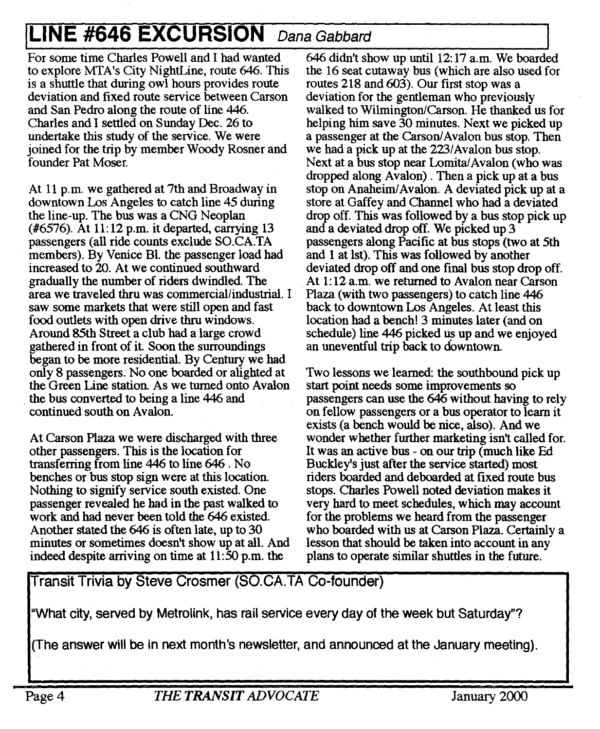# **ILINE #646 EXCURSION** Dana Gabbard<br>For some time Charles Powell and I had wanted 646 didn't show up until 12:17 a.m. We boarded

For some time Charles Powell and I had wanted 646 didn't show up until 12:17 a.m. We boarded to explore MTA's City NightLine, route 646. This the 16 seat cutaway bus (which are also used for to explore MTA's City NightLine, route 646. This the 16 seat cutaway bus (which are also used is a shuttle that during owl hours provides route routes 218 and 603). Our first stop was a is a shuttle that during owl hours provides route<br>deviation and fixed route service between Carson deviation and fixed route service between Carson deviation for the gentleman who previously<br>and San Pedro along the route of line 446. walked to Wilmington/Carson. He thanked i and San Pedro along the route of line 446. walked to Wilmington/Carson. He thanked us for<br>Charles and I settled on Sunday Dec. 26 to helping him save 30 minutes. Next we picked up Charles and I settled on Sunday Dec. 26 to helping him save 30 minutes. Next we picked up<br>undertake this study of the service. We were a passenger at the Carson/Avalon bus stop. Then joined for the trip by member Woody Rosner and founder Pat Moser.

At 11 p.m. we gathered at 7th and Broadway in downtown Los Angeles to catch line 45 during the line-up. The bus was a CNG Neoplan (#6576). At 11:12 p.m. it departed, carrying 13 passengers (all ride counts exclude SO.CA.TA members). By Venice Bl. the passenger load had increased to 20. At we continued southward gradually the number of riders dwindled. The area we traveled thru was commercial/industrial. I saw some markets that were still open and fast food outlets with open drive thru windows. Around 85th Street a club had a large crowd gathered in front of it. Soon the surroundings began to be more residential. By Century we had only 8 passengers. No one boarded or alighted at the Green Line station. As we turned onto Avalon the bus converted to being a line 446 and continued south on Avalon.

At Carson Plaza we were discharged with three other passengers. This is the location for transferring from line 446 to line 646 . No benches or bus stop sign were at this location. Nothing to signify service south existed. One passenger revealed he had in the past walked to work and had never been told the 646 existed. Another stated the 646 is often late, up to 30 minutes or sometimes doesn't show up at all. And indeed despite arriving on time at 11:50 p.m. the

a passenger at the Carson/Avalon bus stop. Then<br>we had a pick up at the 223/Avalon bus stop. Next at a bus stop near Lomita/Avalon (who was dropped along Avalon) . Then a pick up at a bus stop on Anaheim/Avalon. A deviated pick up at a store at Gaffey and Channel who had a deviated drop off. This was followed by a bus stop pick up and a deviated drop off. We picked up 3 passengers along Pacific at bus stops (two at 5th and 1 at 1st).This was followed by another deviated drop off and one final bus stop drop off. At 1:12 a.m. we returned to Avalon near Carson Plaza (with two passengers) to catch line 446 back to downtown Los Angeles. At least this location had a bench! 3 minutes later (and on schedule) line 446 picked us up and we enjoyed an uneventful trip back to dOwntown.

Two lessons we learned: the southbound pick up start point needs some improvements so passengers can use the 646 without having to rely on fellow passengers or a bus operator to learn it exists (a bench would be nice, also). And we wonder whether further marketing isn't called for. It was an active bus - on our trip (much like Ed Buckley's just after the service started) most riders boarded and deboarded at fixed route bus stops. Charles Powell noted deviation makes it very hard to meet schedules, which may account for the problems we heard from the passenger who boarded with us at Carson Plaza. Certainly a lesson that should be taken into account in any plans to operate similar shuttles in the future.

Transit Trivia by Steve Crosmer (SO.CA.TA Co-founder)

"What city, served by Metrolink, has rail service every day of the week but Saturday"?

(The answer will be in next month's newsletter, and announced at the January meeting).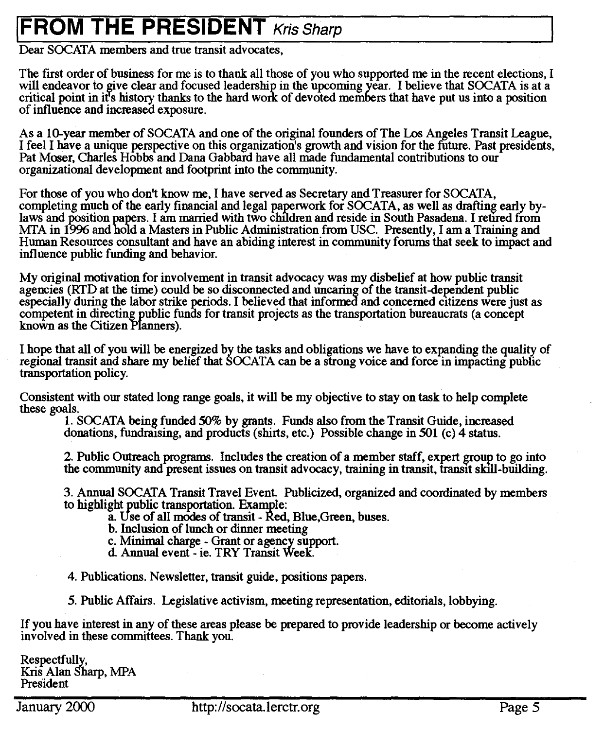## **IFROM THE PRESIDENT** Kris Sharp

Dear SOCATA members and true transit advocates,

The first order of business for me is to thank all those of you who supported me in the recent elections, I will endeavor to give clear and focused leadership in the upcoming year. I believe that SOCATA is at a critical point in it's history thanks to the hard work of devoted members that have put us into a position of influence and increased exposure.

As a 10-year member of SOCATA and one of the original founders of The Los Angeles Transit League, I feel I have a unique perspective on this organization's growth and vision for the future. Past presidents, Pat Moser, Charles Hobbs and Dana Gabbard have all made fundamental contributions to our organizational development and footprint into the community.

For those of you who don't know me, I have served as Secretary and Treasurer for SOCATA, completing much of the early financial and legal paperwork for SOCATA, as well as drafting early bylaws and position papers. I am married with two children and reside in South Pasadena. I retired from MTA in 1996 and hold a Masters in Public Administration from USC. Presently, I am a Training and Human Resources consultant and have an abiding interest in community forums that seek to impact and influence public funding and behavior.

My original motivation for involvement in transit advocacy was my disbelief at how public transit agencies (RTD at the time) could be so disconnected and uncaring of the transit-dependent public especially during the labor strike periods. I believed that informed and concerned citizens were just as competent in directing public funds for transit projects as the transportation bureaucrats (a concept known as the Citizen Planners).

I hope that all of you will be energized by the tasks and obligations we have to expanding the quality of regional transit and share my belief that SOCATA can be a strong voice and force in impacting public transportation policy.

Consistent with our stated long range goals, it will be my objective to stay on task to help complete these goals.

1. SOCATA being funded 50% by grants. Funds also from the Transit Guide, increased donations, fundraising, and products (shirts, etc.) Possible change in 501 (c) 4 status.

2. Public Outreach programs. Includes the creation of a member staff, expert group to go into the community and present issues on transit advocacy, training in transit, transit skill-bUilding.

3. Annual SOCATA Transit Travel Event. Publicized, organized and coordinated by members

- a. Use of all modes of transit Red, Blue,Green, buses.
- 
- b. Inclusion of lunch or dinner meeting<br>c. Minimal charge Grant or agency support.
- d. Annual event ie. TRY Transit Week.

4. Publications. Newsletter, transit guide, positions papers.

5. Public Affairs. Legislative activism, meeting representation, editorials, lobbying.

If you have interest in any of these areas please be prepared to provide leadership or become actively involved in these committees. Thank you.

Respectfully, Kris Alan Sharp, MPA President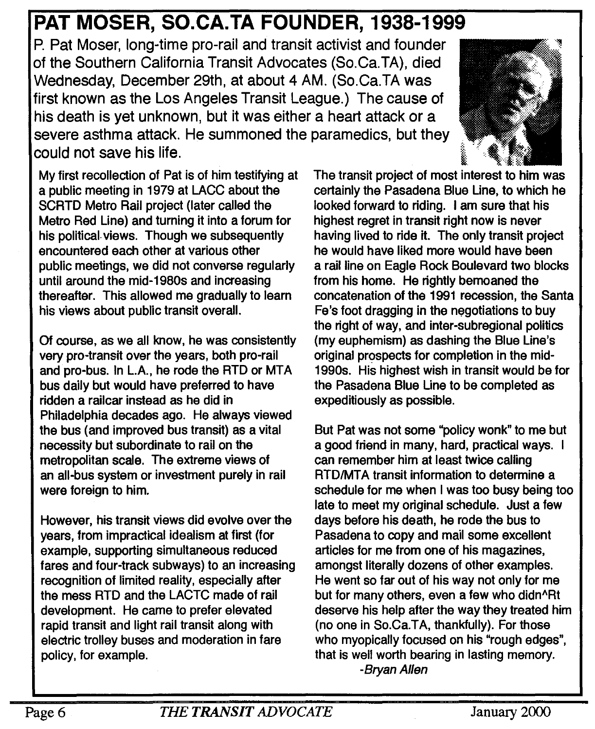### **PAT MOSER, SO.CA.TA FOUNDER, 1938-1999**

P. Pat Moser, long-time pro-rail and transit activist and founder of the Southern California Transit Advocates (So.Ca.TA), died Wednesday, December 29th, at about 4 AM. (So.Ca.TA was first known as the Los Angeles Transit League.) The cause of his death is yet unknown, but it was either a heart attack or a severe asthma attack. He summoned the paramedics, but they could not save his life.

My first recollection of Pat is of him testifying at a public meeting in 1979 at LACC about the SCRTO Metro Rail project (later called the Metro Red Line) and turning it into a forum for his political. views. Though we subsequently encountered each other at various other public meetings, we did not converse regularly until around the mid-1980s and increasing thereafter. This allowed me gradually to learn his views about public transit overall.

Of course, as we all know, he was consistently very pro-transit over the years, both pro-rail and pro-bus. In L.A., he rode the RTO or MTA bus daily but would have preferred to have ridden a railcar instead as he did in Philadelphia decades ago. He always viewed the bus (and improved bus transit) as a vital necessity but subordinate to rail on the metropolitan scale. The extreme views of an all-bus system or investment purely in rail were foreign to him.

However, his transit views did evolve over the years, from impractical idealism at first (for example, supporting simultaneous reduced fares and four-track subways) to an increasing recognition of limited reality, especially after the mess RTO and the LACTC made of rail development. He came to prefer elevated rapid transit and light rail transit along with electric trolley buses and moderation in fare policy, for example.

The transit project of most interest to him was certainly the Pasadena Blue Line, to which he looked forward to riding. I am sure that his highest regret in transit right now is never having lived to ride it. The only transit project he would have liked more would have been a rail line on Eagle Rock Boulevard two blocks from his home. He rightly bemoaned the concatenation of the 1991 recession, the Santa Fe's foot dragging in the negotiations to buy the right of way, and inter-subregional politics (my euphemism) as dashing the Blue Line's original prospects for completion in the mid-1990s. His highest wish in transit would be for the Pasadena Blue Line to be completed as expeditiously as possible.

But Pat was not some "policy wonk" to me but a good friend in many, hard, practical ways. I can remember him at least twice calling RTD/MTA transit information to determine a schedule for me when I was too busy being too late to meet my original schedule. Just a few days before his death, he rode the bus to Pasadena to copy and mail some excellent articles for me from one of his magazines, amongst literally dozens of other examples. He went so far out of his way not only for me but for many others, even a few who didn^Rt deserve his help after the way they treated him (no one in So.Ca.TA, thankfully). For those who myopically focused on his "rough edges", that is well worth bearing in lasting memory. -Bryan Allen